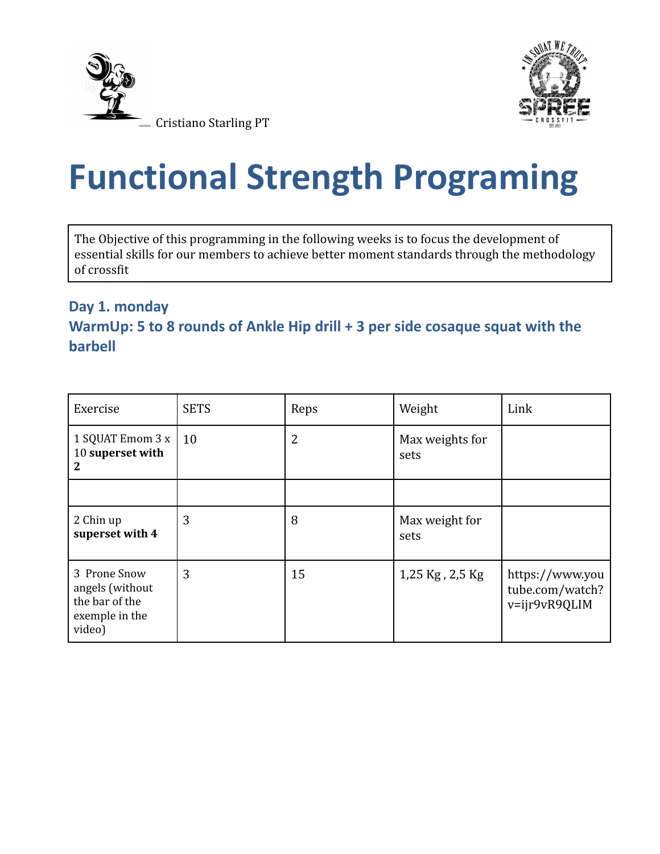



# **Functional Strength Programing**

The Objective of this programming in the following weeks is to focus the development of essential skills for our members to achieve better moment standards through the methodology of crossfit

## **Day 1. monday WarmUp: 5 to 8 rounds of Ankle Hip drill + 3 per side cosaque squat with the barbell**

| Exercise                                                                      | <b>SETS</b> | Reps | Weight                  | Link                                                |
|-------------------------------------------------------------------------------|-------------|------|-------------------------|-----------------------------------------------------|
| 1 SQUAT Emom 3 x<br>10 superset with<br>2                                     | 10          | 2    | Max weights for<br>sets |                                                     |
|                                                                               |             |      |                         |                                                     |
| 2 Chin up<br>superset with 4                                                  | 3           | 8    | Max weight for<br>sets  |                                                     |
| 3 Prone Snow<br>angels (without<br>the bar of the<br>exemple in the<br>video) | 3           | 15   | 1,25 Kg, 2,5 Kg         | https://www.you<br>tube.com/watch?<br>v=ijr9vR9QLIM |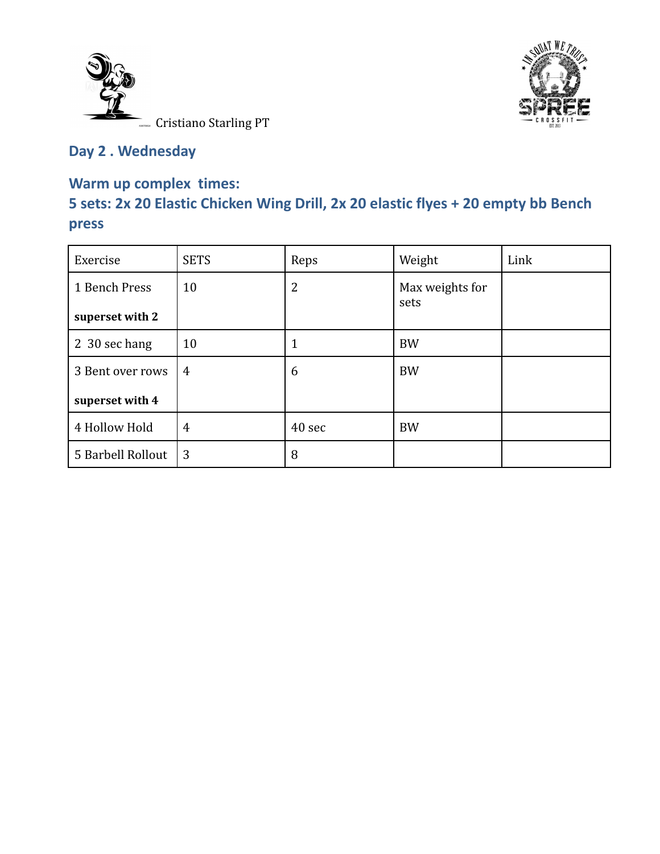



## **Day 2 . Wednesday**

#### **Warm up complex times:**

# **5 sets: 2x 20 Elastic Chicken Wing Drill, 2x 20 elastic flyes + 20 empty bb Bench press**

| Exercise          | <b>SETS</b>    | Reps   | Weight          | Link |
|-------------------|----------------|--------|-----------------|------|
| 1 Bench Press     | 10             | 2      | Max weights for |      |
| superset with 2   |                |        | sets            |      |
| 2 30 sec hang     | 10             |        | <b>BW</b>       |      |
| 3 Bent over rows  | $\overline{4}$ | 6      | <b>BW</b>       |      |
| superset with 4   |                |        |                 |      |
| 4 Hollow Hold     | $\overline{4}$ | 40 sec | <b>BW</b>       |      |
| 5 Barbell Rollout | 3              | 8      |                 |      |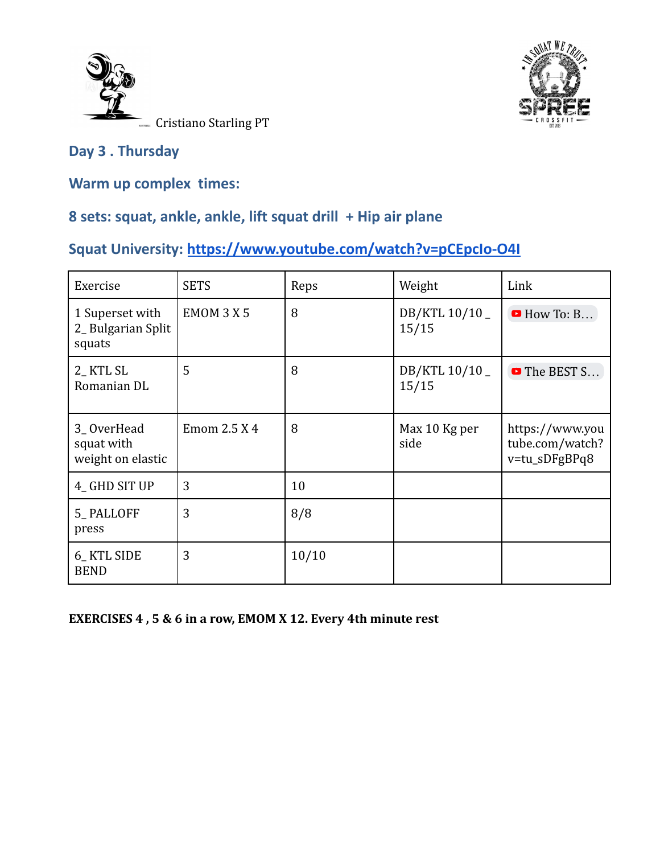



#### **Day 3 . Thursday**

**Warm up complex times:**

### **8 sets: squat, ankle, ankle, lift squat drill + Hip air plane**

# **Squat University: <https://www.youtube.com/watch?v=pCEpcIo-O4I>**

| Exercise                                       | <b>SETS</b>  | Reps  | Weight                 | Link                                                |
|------------------------------------------------|--------------|-------|------------------------|-----------------------------------------------------|
| 1 Superset with<br>2_Bulgarian Split<br>squats | EMOM 3 X 5   | 8     | DB/KTL 10/10_<br>15/15 | $\blacksquare$ How To: B                            |
| 2_KTL SL<br>Romanian DL                        | 5            | 8     | DB/KTL 10/10_<br>15/15 | The BEST S                                          |
| 3_OverHead<br>squat with<br>weight on elastic  | Emom 2.5 X 4 | 8     | Max 10 Kg per<br>side  | https://www.you<br>tube.com/watch?<br>v=tu_sDFgBPq8 |
| 4_GHD SIT UP                                   | 3            | 10    |                        |                                                     |
| 5_PALLOFF<br>press                             | 3            | 8/8   |                        |                                                     |
| 6_KTL SIDE<br><b>BEND</b>                      | 3            | 10/10 |                        |                                                     |

#### **EXERCISES 4 , 5 & 6 in a row, EMOM X 12. Every 4th minute rest**